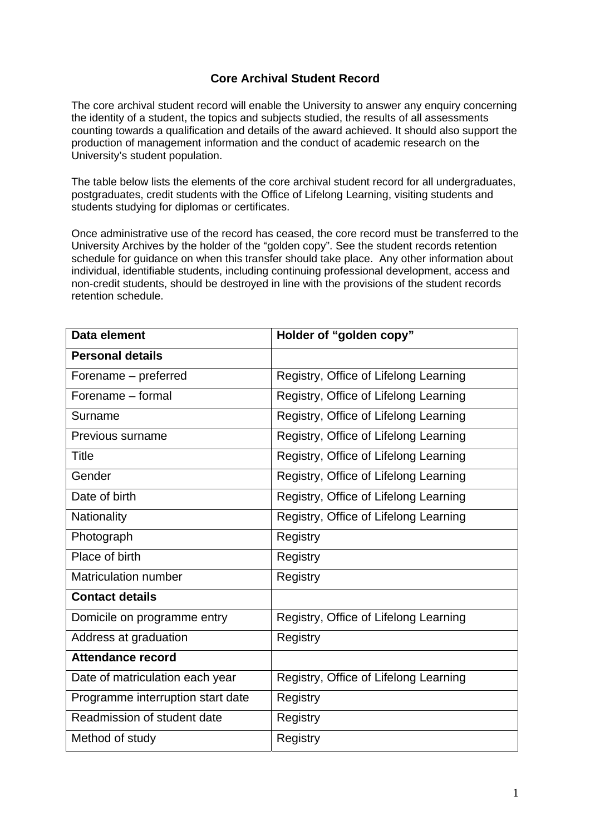## **Core Archival Student Record**

The core archival student record will enable the University to answer any enquiry concerning the identity of a student, the topics and subjects studied, the results of all assessments counting towards a qualification and details of the award achieved. It should also support the production of management information and the conduct of academic research on the University's student population.

The table below lists the elements of the core archival student record for all undergraduates, postgraduates, credit students with the Office of Lifelong Learning, visiting students and students studying for diplomas or certificates.

Once administrative use of the record has ceased, the core record must be transferred to the University Archives by the holder of the "golden copy". See the student records retention schedule for guidance on when this transfer should take place. Any other information about individual, identifiable students, including continuing professional development, access and non-credit students, should be destroyed in line with the provisions of the student records retention schedule.

| Data element                      | Holder of "golden copy"               |
|-----------------------------------|---------------------------------------|
| <b>Personal details</b>           |                                       |
| Forename - preferred              | Registry, Office of Lifelong Learning |
| Forename - formal                 | Registry, Office of Lifelong Learning |
| Surname                           | Registry, Office of Lifelong Learning |
| Previous surname                  | Registry, Office of Lifelong Learning |
| <b>Title</b>                      | Registry, Office of Lifelong Learning |
| Gender                            | Registry, Office of Lifelong Learning |
| Date of birth                     | Registry, Office of Lifelong Learning |
| Nationality                       | Registry, Office of Lifelong Learning |
| Photograph                        | Registry                              |
| Place of birth                    | Registry                              |
| <b>Matriculation number</b>       | Registry                              |
| <b>Contact details</b>            |                                       |
| Domicile on programme entry       | Registry, Office of Lifelong Learning |
| Address at graduation             | Registry                              |
| <b>Attendance record</b>          |                                       |
| Date of matriculation each year   | Registry, Office of Lifelong Learning |
| Programme interruption start date | Registry                              |
| Readmission of student date       | <b>Registry</b>                       |
| Method of study                   | Registry                              |